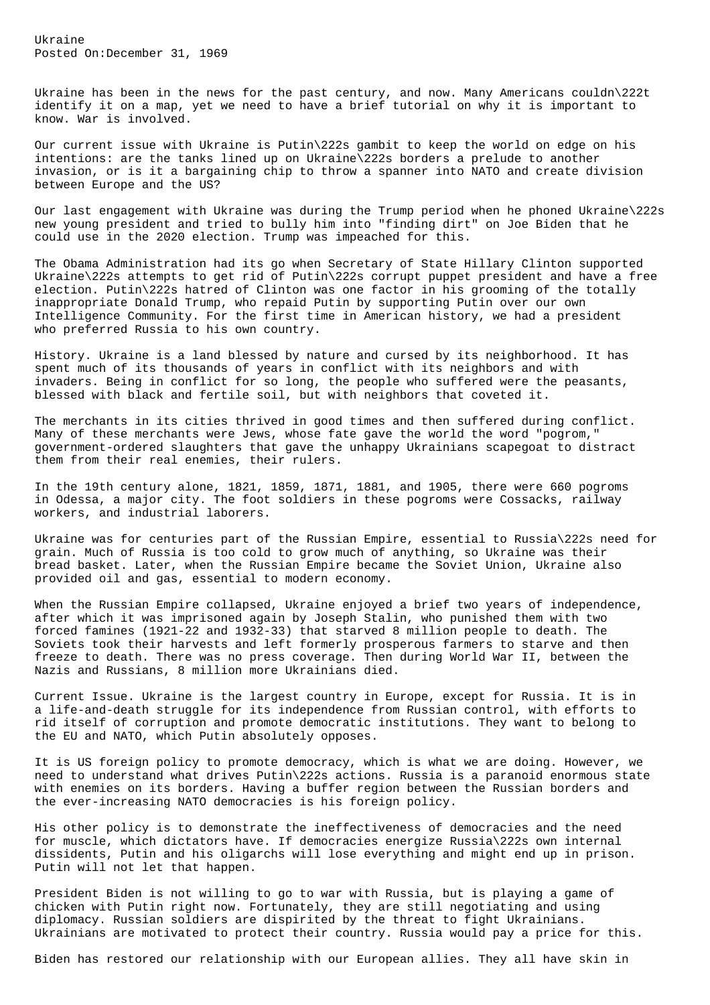Ukraine Posted On:December 31, 1969

Ukraine has been in the news for the past century, and now. Many Americans couldn\222t identify it on a map, yet we need to have a brief tutorial on why it is important to know. War is involved.

Our current issue with Ukraine is Putin\222s gambit to keep the world on edge on his intentions: are the tanks lined up on Ukraine\222s borders a prelude to another invasion, or is it a bargaining chip to throw a spanner into NATO and create division between Europe and the US?

Our last engagement with Ukraine was during the Trump period when he phoned Ukraine\222s new young president and tried to bully him into "finding dirt" on Joe Biden that he could use in the 2020 election. Trump was impeached for this.

The Obama Administration had its go when Secretary of State Hillary Clinton supported Ukraine\222s attempts to get rid of Putin\222s corrupt puppet president and have a free election. Putin\222s hatred of Clinton was one factor in his grooming of the totally inappropriate Donald Trump, who repaid Putin by supporting Putin over our own Intelligence Community. For the first time in American history, we had a president who preferred Russia to his own country.

History. Ukraine is a land blessed by nature and cursed by its neighborhood. It has spent much of its thousands of years in conflict with its neighbors and with invaders. Being in conflict for so long, the people who suffered were the peasants, blessed with black and fertile soil, but with neighbors that coveted it.

The merchants in its cities thrived in good times and then suffered during conflict. Many of these merchants were Jews, whose fate gave the world the word "pogrom," government-ordered slaughters that gave the unhappy Ukrainians scapegoat to distract them from their real enemies, their rulers.

In the 19th century alone, 1821, 1859, 1871, 1881, and 1905, there were 660 pogroms in Odessa, a major city. The foot soldiers in these pogroms were Cossacks, railway workers, and industrial laborers.

Ukraine was for centuries part of the Russian Empire, essential to Russia\222s need for grain. Much of Russia is too cold to grow much of anything, so Ukraine was their bread basket. Later, when the Russian Empire became the Soviet Union, Ukraine also provided oil and gas, essential to modern economy.

When the Russian Empire collapsed, Ukraine enjoyed a brief two years of independence, after which it was imprisoned again by Joseph Stalin, who punished them with two forced famines (1921-22 and 1932-33) that starved 8 million people to death. The Soviets took their harvests and left formerly prosperous farmers to starve and then freeze to death. There was no press coverage. Then during World War II, between the Nazis and Russians, 8 million more Ukrainians died.

Current Issue. Ukraine is the largest country in Europe, except for Russia. It is in a life-and-death struggle for its independence from Russian control, with efforts to rid itself of corruption and promote democratic institutions. They want to belong to the EU and NATO, which Putin absolutely opposes.

It is US foreign policy to promote democracy, which is what we are doing. However, we need to understand what drives Putin\222s actions. Russia is a paranoid enormous state with enemies on its borders. Having a buffer region between the Russian borders and the ever-increasing NATO democracies is his foreign policy.

His other policy is to demonstrate the ineffectiveness of democracies and the need for muscle, which dictators have. If democracies energize Russia\222s own internal dissidents, Putin and his oligarchs will lose everything and might end up in prison. Putin will not let that happen.

President Biden is not willing to go to war with Russia, but is playing a game of chicken with Putin right now. Fortunately, they are still negotiating and using diplomacy. Russian soldiers are dispirited by the threat to fight Ukrainians. Ukrainians are motivated to protect their country. Russia would pay a price for this.

Biden has restored our relationship with our European allies. They all have skin in